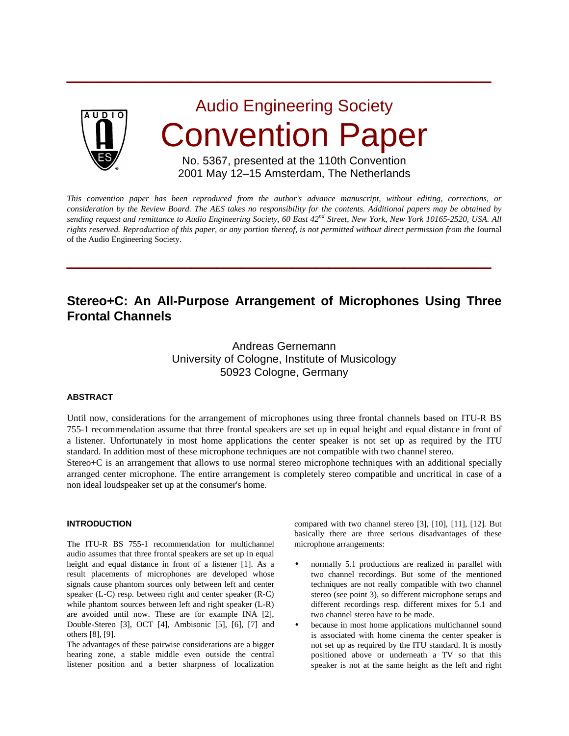

Audio Engineering Society Convention Paper

 $\overline{\phantom{a}}$  , and the contract of the contract of the contract of the contract of the contract of the contract of the contract of the contract of the contract of the contract of the contract of the contract of the contrac

## No. 5367, presented at the 110th Convention 2001 May 12–15 Amsterdam, The Netherlands

*This convention paper has been reproduced from the author's advance manuscript, without editing, corrections, or consideration by the Review Board. The AES takes no responsibility for the contents. Additional papers may be obtained by sending request and remittance to Audio Engineering Society, 60 East 42nd Street, New York, New York 10165-2520, USA. All rights reserved. Reproduction of this paper, or any portion thereof, is not permitted without direct permission from the* Journal of the Audio Engineering Society.

 $\overline{\phantom{a}}$  , and the contract of the contract of the contract of the contract of the contract of the contract of the contract of the contract of the contract of the contract of the contract of the contract of the contrac

# **Stereo+C: An All-Purpose Arrangement of Microphones Using Three Frontal Channels**

# Andreas Gernemann University of Cologne, Institute of Musicology 50923 Cologne, Germany

## **ABSTRACT**

Until now, considerations for the arrangement of microphones using three frontal channels based on ITU-R BS 755-1 recommendation assume that three frontal speakers are set up in equal height and equal distance in front of a listener. Unfortunately in most home applications the center speaker is not set up as required by the ITU standard. In addition most of these microphone techniques are not compatible with two channel stereo.

Stereo+C is an arrangement that allows to use normal stereo microphone techniques with an additional specially arranged center microphone. The entire arrangement is completely stereo compatible and uncritical in case of a non ideal loudspeaker set up at the consumer's home.

## **INTRODUCTION**

The ITU-R BS 755-1 recommendation for multichannel audio assumes that three frontal speakers are set up in equal height and equal distance in front of a listener [1]. As a result placements of microphones are developed whose signals cause phantom sources only between left and center speaker (L-C) resp. between right and center speaker (R-C) while phantom sources between left and right speaker (L-R) are avoided until now. These are for example INA [2], Double-Stereo [3], OCT [4], Ambisonic [5], [6], [7] and others [8], [9].

The advantages of these pairwise considerations are a bigger hearing zone, a stable middle even outside the central listener position and a better sharpness of localization

compared with two channel stereo [3], [10], [11], [12]. But basically there are three serious disadvantages of these microphone arrangements:

- normally 5.1 productions are realized in parallel with two channel recordings. But some of the mentioned techniques are not really compatible with two channel stereo (see point 3), so different microphone setups and different recordings resp. different mixes for 5.1 and two channel stereo have to be made.
- because in most home applications multichannel sound is associated with home cinema the center speaker is not set up as required by the ITU standard. It is mostly positioned above or underneath a TV so that this speaker is not at the same height as the left and right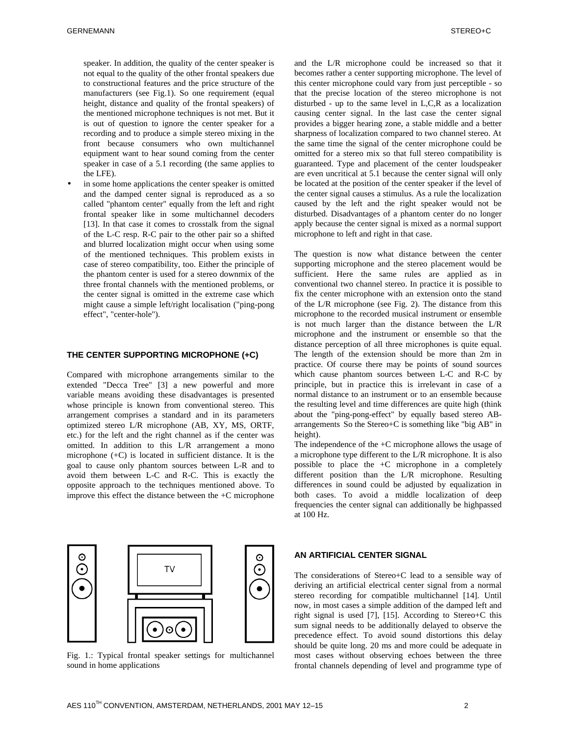speaker. In addition, the quality of the center speaker is not equal to the quality of the other frontal speakers due to constructional features and the price structure of the manufacturers (see Fig.1). So one requirement (equal height, distance and quality of the frontal speakers) of the mentioned microphone techniques is not met. But it is out of question to ignore the center speaker for a recording and to produce a simple stereo mixing in the front because consumers who own multichannel equipment want to hear sound coming from the center speaker in case of a 5.1 recording (the same applies to the LFE).

in some home applications the center speaker is omitted and the damped center signal is reproduced as a so called "phantom center" equally from the left and right frontal speaker like in some multichannel decoders [13]. In that case it comes to crosstalk from the signal of the L-C resp. R-C pair to the other pair so a shifted and blurred localization might occur when using some of the mentioned techniques. This problem exists in case of stereo compatibility, too. Either the principle of the phantom center is used for a stereo downmix of the three frontal channels with the mentioned problems, or the center signal is omitted in the extreme case which might cause a simple left/right localisation ("ping-pong effect", "center-hole").

#### **THE CENTER SUPPORTING MICROPHONE (+C)**

Compared with microphone arrangements similar to the extended "Decca Tree" [3] a new powerful and more variable means avoiding these disadvantages is presented whose principle is known from conventional stereo. This arrangement comprises a standard and in its parameters optimized stereo L/R microphone (AB, XY, MS, ORTF, etc.) for the left and the right channel as if the center was omitted. In addition to this L/R arrangement a mono microphone (+C) is located in sufficient distance. It is the goal to cause only phantom sources between L-R and to avoid them between L-C and R-C. This is exactly the opposite approach to the techniques mentioned above. To improve this effect the distance between the +C microphone



Fig. 1.: Typical frontal speaker settings for multichannel sound in home applications

and the L/R microphone could be increased so that it becomes rather a center supporting microphone. The level of this center microphone could vary from just perceptible - so that the precise location of the stereo microphone is not disturbed - up to the same level in L,C,R as a localization causing center signal. In the last case the center signal provides a bigger hearing zone, a stable middle and a better sharpness of localization compared to two channel stereo. At the same time the signal of the center microphone could be omitted for a stereo mix so that full stereo compatibility is guaranteed. Type and placement of the center loudspeaker are even uncritical at 5.1 because the center signal will only be located at the position of the center speaker if the level of the center signal causes a stimulus. As a rule the localization caused by the left and the right speaker would not be disturbed. Disadvantages of a phantom center do no longer apply because the center signal is mixed as a normal support microphone to left and right in that case.

The question is now what distance between the center supporting microphone and the stereo placement would be sufficient. Here the same rules are applied as in conventional two channel stereo. In practice it is possible to fix the center microphone with an extension onto the stand of the L/R microphone (see Fig. 2). The distance from this microphone to the recorded musical instrument or ensemble is not much larger than the distance between the L/R microphone and the instrument or ensemble so that the distance perception of all three microphones is quite equal. The length of the extension should be more than 2m in practice. Of course there may be points of sound sources which cause phantom sources between L-C and R-C by principle, but in practice this is irrelevant in case of a normal distance to an instrument or to an ensemble because the resulting level and time differences are quite high (think about the "ping-pong-effect" by equally based stereo ABarrangements So the Stereo+C is something like "big AB" in height).

The independence of the +C microphone allows the usage of a microphone type different to the L/R microphone. It is also possible to place the +C microphone in a completely different position than the L/R microphone. Resulting differences in sound could be adjusted by equalization in both cases. To avoid a middle localization of deep frequencies the center signal can additionally be highpassed at 100 Hz.

#### **AN ARTIFICIAL CENTER SIGNAL**

The considerations of Stereo+C lead to a sensible way of deriving an artificial electrical center signal from a normal stereo recording for compatible multichannel [14]. Until now, in most cases a simple addition of the damped left and right signal is used [7], [15]. According to Stereo+C this sum signal needs to be additionally delayed to observe the precedence effect. To avoid sound distortions this delay should be quite long. 20 ms and more could be adequate in most cases without observing echoes between the three frontal channels depending of level and programme type of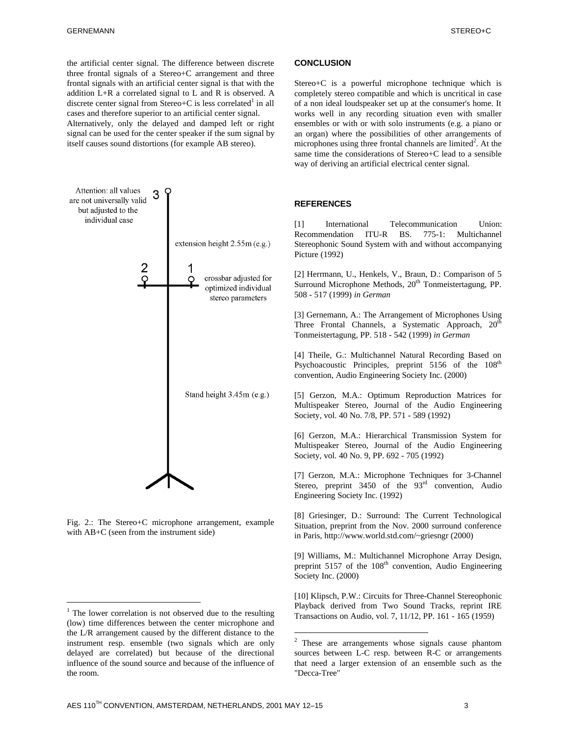the artificial center signal. The difference between discrete three frontal signals of a Stereo+C arrangement and three frontal signals with an artificial center signal is that with the addition L+R a correlated signal to L and R is observed. A discrete center signal from Stereo+C is less correlated<sup>1</sup> in all cases and therefore superior to an artificial center signal.

Alternatively, only the delayed and damped left or right signal can be used for the center speaker if the sum signal by itself causes sound distortions (for example AB stereo).



Fig. 2.: The Stereo+C microphone arrangement, example with AB+C (seen from the instrument side)

<u>.</u>

#### **CONCLUSION**

Stereo+C is a powerful microphone technique which is completely stereo compatible and which is uncritical in case of a non ideal loudspeaker set up at the consumer's home. It works well in any recording situation even with smaller ensembles or with or with solo instruments (e.g. a piano or an organ) where the possibilities of other arrangements of microphones using three frontal channels are limited<sup>2</sup>. At the same time the considerations of Stereo+C lead to a sensible way of deriving an artificial electrical center signal.

## **REFERENCES**

[1] International Telecommunication Union: Recommendation ITU-R BS. 775-1: Multichannel Stereophonic Sound System with and without accompanying Picture (1992)

[2] Herrmann, U., Henkels, V., Braun, D.: Comparison of 5 Surround Microphone Methods,  $20<sup>th</sup>$  Tonmeistertagung, PP. 508 - 517 (1999) *in German*

[3] Gernemann, A.: The Arrangement of Microphones Using Three Frontal Channels, a Systematic Approach, 20<sup>th</sup> Tonmeistertagung, PP. 518 - 542 (1999) *in German*

[4] Theile, G.: Multichannel Natural Recording Based on Psychoacoustic Principles, preprint 5156 of the 108<sup>th</sup> convention, Audio Engineering Society Inc. (2000)

[5] Gerzon, M.A.: Optimum Reproduction Matrices for Multispeaker Stereo, Journal of the Audio Engineering Society, vol. 40 No. 7/8, PP. 571 - 589 (1992)

[6] Gerzon, M.A.: Hierarchical Transmission System for Multispeaker Stereo, Journal of the Audio Engineering Society, vol. 40 No. 9, PP. 692 - 705 (1992)

[7] Gerzon, M.A.: Microphone Techniques for 3-Channel Stereo, preprint  $3450$  of the  $93<sup>rd</sup>$  convention, Audio Engineering Society Inc. (1992)

[8] Griesinger, D.: Surround: The Current Technological Situation, preprint from the Nov. 2000 surround conference in Paris, http://www.world.std.com/~griesngr (2000)

[9] Williams, M.: Multichannel Microphone Array Design, preprint  $5157$  of the  $108<sup>th</sup>$  convention, Audio Engineering Society Inc. (2000)

[10] Klipsch, P.W.: Circuits for Three-Channel Stereophonic Playback derived from Two Sound Tracks, reprint IRE Transactions on Audio, vol. 7, 11/12, PP. 161 - 165 (1959)

<sup>&</sup>lt;sup>1</sup> The lower correlation is not observed due to the resulting (low) time differences between the center microphone and the L/R arrangement caused by the different distance to the instrument resp. ensemble (two signals which are only delayed are correlated) but because of the directional influence of the sound source and because of the influence of the room.

<sup>&</sup>lt;sup>2</sup> These are arrangements whose signals cause phantom sources between L-C resp. between R-C or arrangements that need a larger extension of an ensemble such as the "Decca-Tree"